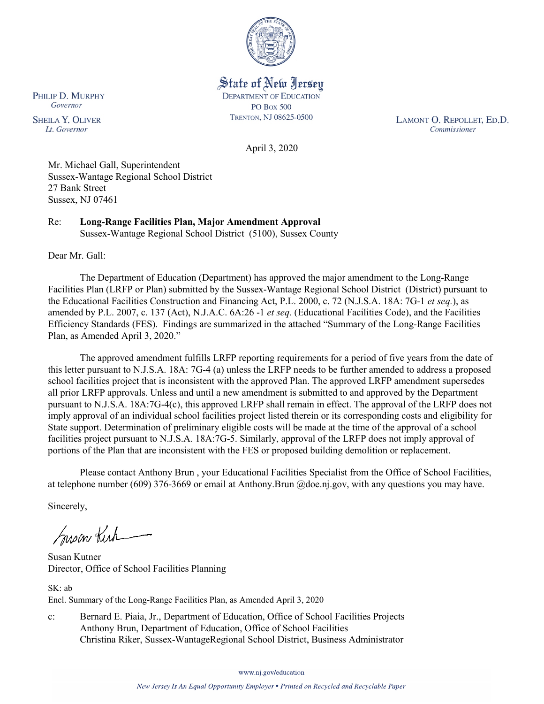

State of New Jersey **DEPARTMENT OF EDUCATION PO Box 500** TRENTON, NJ 08625-0500

LAMONT O. REPOLLET, ED.D. Commissioner

April 3, 2020

Mr. Michael Gall, Superintendent Sussex-Wantage Regional School District 27 Bank Street Sussex, NJ 07461

Re: **Long-Range Facilities Plan, Major Amendment Approval** Sussex-Wantage Regional School District (5100), Sussex County

Dear Mr. Gall:

The Department of Education (Department) has approved the major amendment to the Long-Range Facilities Plan (LRFP or Plan) submitted by the Sussex-Wantage Regional School District (District) pursuant to the Educational Facilities Construction and Financing Act, P.L. 2000, c. 72 (N.J.S.A. 18A: 7G-1 *et seq.*), as amended by P.L. 2007, c. 137 (Act), N.J.A.C. 6A:26 -1 *et seq.* (Educational Facilities Code), and the Facilities Efficiency Standards (FES). Findings are summarized in the attached "Summary of the Long-Range Facilities Plan, as Amended April 3, 2020."

The approved amendment fulfills LRFP reporting requirements for a period of five years from the date of this letter pursuant to N.J.S.A. 18A: 7G-4 (a) unless the LRFP needs to be further amended to address a proposed school facilities project that is inconsistent with the approved Plan. The approved LRFP amendment supersedes all prior LRFP approvals. Unless and until a new amendment is submitted to and approved by the Department pursuant to N.J.S.A. 18A:7G-4(c), this approved LRFP shall remain in effect. The approval of the LRFP does not imply approval of an individual school facilities project listed therein or its corresponding costs and eligibility for State support. Determination of preliminary eligible costs will be made at the time of the approval of a school facilities project pursuant to N.J.S.A. 18A:7G-5. Similarly, approval of the LRFP does not imply approval of portions of the Plan that are inconsistent with the FES or proposed building demolition or replacement.

Please contact Anthony Brun , your Educational Facilities Specialist from the Office of School Facilities, at telephone number (609) 376-3669 or email at Anthony.Brun @doe.nj.gov, with any questions you may have.

Sincerely,

Susan Kich

Susan Kutner Director, Office of School Facilities Planning

SK: ab Encl. Summary of the Long-Range Facilities Plan, as Amended April 3, 2020

c: Bernard E. Piaia, Jr., Department of Education, Office of School Facilities Projects Anthony Brun, Department of Education, Office of School Facilities Christina Riker, Sussex-WantageRegional School District, Business Administrator

www.nj.gov/education

New Jersey Is An Equal Opportunity Employer . Printed on Recycled and Recyclable Paper

PHILIP D. MURPHY Governor

**SHEILA Y. OLIVER** Lt. Governor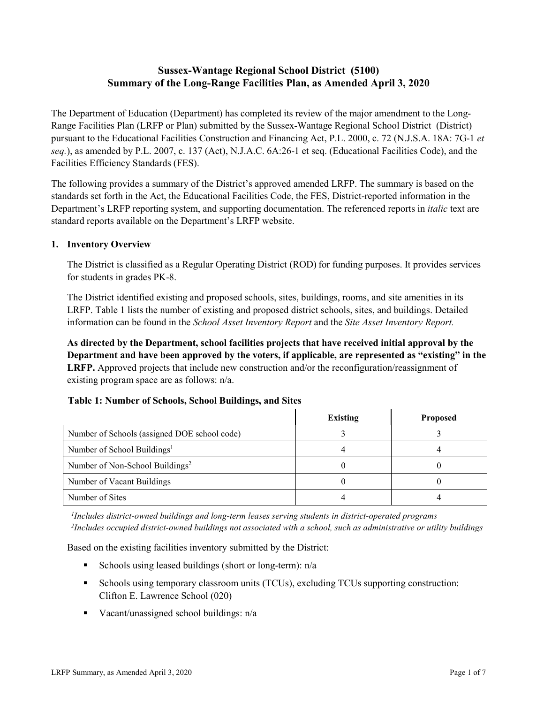# **Sussex-Wantage Regional School District (5100) Summary of the Long-Range Facilities Plan, as Amended April 3, 2020**

The Department of Education (Department) has completed its review of the major amendment to the Long-Range Facilities Plan (LRFP or Plan) submitted by the Sussex-Wantage Regional School District (District) pursuant to the Educational Facilities Construction and Financing Act, P.L. 2000, c. 72 (N.J.S.A. 18A: 7G-1 *et seq.*), as amended by P.L. 2007, c. 137 (Act), N.J.A.C. 6A:26-1 et seq. (Educational Facilities Code), and the Facilities Efficiency Standards (FES).

The following provides a summary of the District's approved amended LRFP. The summary is based on the standards set forth in the Act, the Educational Facilities Code, the FES, District-reported information in the Department's LRFP reporting system, and supporting documentation. The referenced reports in *italic* text are standard reports available on the Department's LRFP website.

#### **1. Inventory Overview**

The District is classified as a Regular Operating District (ROD) for funding purposes. It provides services for students in grades PK-8.

The District identified existing and proposed schools, sites, buildings, rooms, and site amenities in its LRFP. Table 1 lists the number of existing and proposed district schools, sites, and buildings. Detailed information can be found in the *School Asset Inventory Report* and the *Site Asset Inventory Report.*

**As directed by the Department, school facilities projects that have received initial approval by the Department and have been approved by the voters, if applicable, are represented as "existing" in the LRFP.** Approved projects that include new construction and/or the reconfiguration/reassignment of existing program space are as follows: n/a.

|  |  | Table 1: Number of Schools, School Buildings, and Sites |  |
|--|--|---------------------------------------------------------|--|
|--|--|---------------------------------------------------------|--|

|                                              | Existing | <b>Proposed</b> |
|----------------------------------------------|----------|-----------------|
| Number of Schools (assigned DOE school code) |          |                 |
| Number of School Buildings <sup>1</sup>      |          |                 |
| Number of Non-School Buildings <sup>2</sup>  |          |                 |
| Number of Vacant Buildings                   |          |                 |
| Number of Sites                              |          |                 |

*1 Includes district-owned buildings and long-term leases serving students in district-operated programs 2 Includes occupied district-owned buildings not associated with a school, such as administrative or utility buildings*

Based on the existing facilities inventory submitted by the District:

- Schools using leased buildings (short or long-term):  $n/a$
- Schools using temporary classroom units (TCUs), excluding TCUs supporting construction: Clifton E. Lawrence School (020)
- Vacant/unassigned school buildings:  $n/a$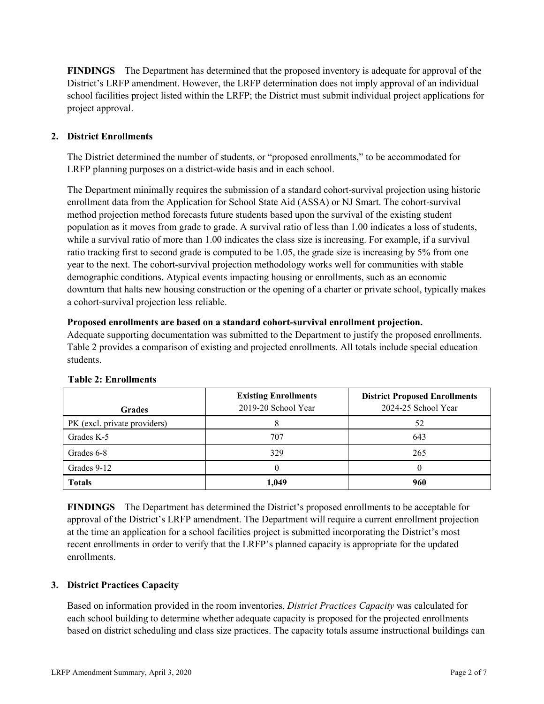**FINDINGS** The Department has determined that the proposed inventory is adequate for approval of the District's LRFP amendment. However, the LRFP determination does not imply approval of an individual school facilities project listed within the LRFP; the District must submit individual project applications for project approval.

## **2. District Enrollments**

The District determined the number of students, or "proposed enrollments," to be accommodated for LRFP planning purposes on a district-wide basis and in each school.

The Department minimally requires the submission of a standard cohort-survival projection using historic enrollment data from the Application for School State Aid (ASSA) or NJ Smart. The cohort-survival method projection method forecasts future students based upon the survival of the existing student population as it moves from grade to grade. A survival ratio of less than 1.00 indicates a loss of students, while a survival ratio of more than 1.00 indicates the class size is increasing. For example, if a survival ratio tracking first to second grade is computed to be 1.05, the grade size is increasing by 5% from one year to the next. The cohort-survival projection methodology works well for communities with stable demographic conditions. Atypical events impacting housing or enrollments, such as an economic downturn that halts new housing construction or the opening of a charter or private school, typically makes a cohort-survival projection less reliable.

#### **Proposed enrollments are based on a standard cohort-survival enrollment projection.**

Adequate supporting documentation was submitted to the Department to justify the proposed enrollments. Table 2 provides a comparison of existing and projected enrollments. All totals include special education students.

| <b>Grades</b>                | <b>Existing Enrollments</b><br>2019-20 School Year | <b>District Proposed Enrollments</b><br>2024-25 School Year |
|------------------------------|----------------------------------------------------|-------------------------------------------------------------|
| PK (excl. private providers) |                                                    | 52                                                          |
| Grades K-5                   | 707                                                | 643                                                         |
| Grades 6-8                   | 329                                                | 265                                                         |
| Grades 9-12                  |                                                    |                                                             |
| <b>Totals</b>                | 1,049                                              | 960                                                         |

#### **Table 2: Enrollments**

**FINDINGS** The Department has determined the District's proposed enrollments to be acceptable for approval of the District's LRFP amendment. The Department will require a current enrollment projection at the time an application for a school facilities project is submitted incorporating the District's most recent enrollments in order to verify that the LRFP's planned capacity is appropriate for the updated enrollments.

## **3. District Practices Capacity**

Based on information provided in the room inventories, *District Practices Capacity* was calculated for each school building to determine whether adequate capacity is proposed for the projected enrollments based on district scheduling and class size practices. The capacity totals assume instructional buildings can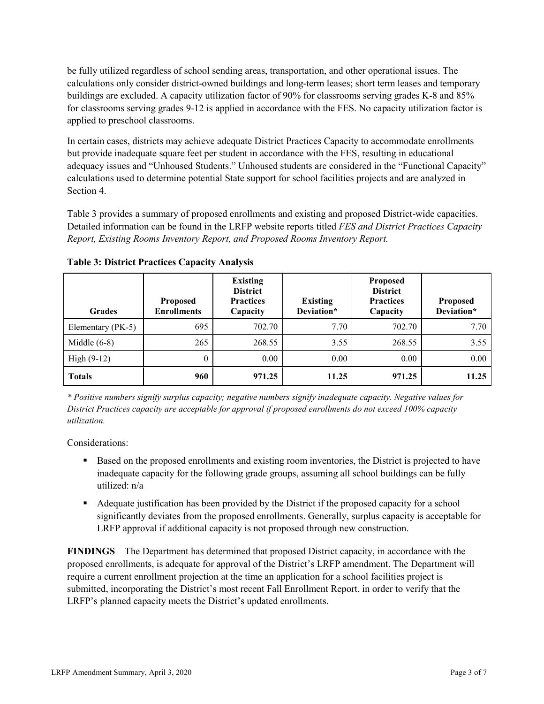be fully utilized regardless of school sending areas, transportation, and other operational issues. The calculations only consider district-owned buildings and long-term leases; short term leases and temporary buildings are excluded. A capacity utilization factor of 90% for classrooms serving grades K-8 and 85% for classrooms serving grades 9-12 is applied in accordance with the FES. No capacity utilization factor is applied to preschool classrooms.

In certain cases, districts may achieve adequate District Practices Capacity to accommodate enrollments but provide inadequate square feet per student in accordance with the FES, resulting in educational adequacy issues and "Unhoused Students." Unhoused students are considered in the "Functional Capacity" calculations used to determine potential State support for school facilities projects and are analyzed in Section 4.

Table 3 provides a summary of proposed enrollments and existing and proposed District-wide capacities. Detailed information can be found in the LRFP website reports titled *FES and District Practices Capacity Report, Existing Rooms Inventory Report, and Proposed Rooms Inventory Report.*

| <b>Grades</b>     | <b>Proposed</b><br><b>Enrollments</b> | <b>Existing</b><br><b>District</b><br><b>Practices</b><br>Capacity | <b>Existing</b><br>Deviation* | <b>Proposed</b><br><b>District</b><br><b>Practices</b><br>Capacity | <b>Proposed</b><br>Deviation* |
|-------------------|---------------------------------------|--------------------------------------------------------------------|-------------------------------|--------------------------------------------------------------------|-------------------------------|
| Elementary (PK-5) | 695                                   | 702.70                                                             | 7.70                          | 702.70                                                             | 7.70                          |
| Middle $(6-8)$    | 265                                   | 268.55                                                             | 3.55                          | 268.55                                                             | 3.55                          |
| High $(9-12)$     | $\theta$                              | 0.00                                                               | 0.00                          | 0.00                                                               | 0.00                          |
| <b>Totals</b>     | 960                                   | 971.25                                                             | 11.25                         | 971.25                                                             | 11.25                         |

**Table 3: District Practices Capacity Analysis**

*\* Positive numbers signify surplus capacity; negative numbers signify inadequate capacity. Negative values for District Practices capacity are acceptable for approval if proposed enrollments do not exceed 100% capacity utilization.*

Considerations:

- **Based on the proposed enrollments and existing room inventories, the District is projected to have** inadequate capacity for the following grade groups, assuming all school buildings can be fully utilized: n/a
- Adequate justification has been provided by the District if the proposed capacity for a school significantly deviates from the proposed enrollments. Generally, surplus capacity is acceptable for LRFP approval if additional capacity is not proposed through new construction.

**FINDINGS**The Department has determined that proposed District capacity, in accordance with the proposed enrollments, is adequate for approval of the District's LRFP amendment. The Department will require a current enrollment projection at the time an application for a school facilities project is submitted, incorporating the District's most recent Fall Enrollment Report, in order to verify that the LRFP's planned capacity meets the District's updated enrollments.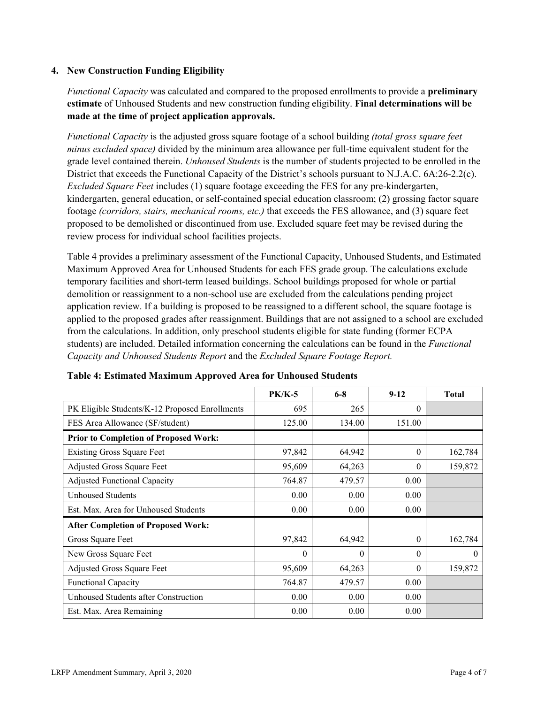#### **4. New Construction Funding Eligibility**

*Functional Capacity* was calculated and compared to the proposed enrollments to provide a **preliminary estimate** of Unhoused Students and new construction funding eligibility. **Final determinations will be made at the time of project application approvals.**

*Functional Capacity* is the adjusted gross square footage of a school building *(total gross square feet minus excluded space)* divided by the minimum area allowance per full-time equivalent student for the grade level contained therein. *Unhoused Students* is the number of students projected to be enrolled in the District that exceeds the Functional Capacity of the District's schools pursuant to N.J.A.C. 6A:26-2.2(c). *Excluded Square Feet* includes (1) square footage exceeding the FES for any pre-kindergarten, kindergarten, general education, or self-contained special education classroom; (2) grossing factor square footage *(corridors, stairs, mechanical rooms, etc.)* that exceeds the FES allowance, and (3) square feet proposed to be demolished or discontinued from use. Excluded square feet may be revised during the review process for individual school facilities projects.

Table 4 provides a preliminary assessment of the Functional Capacity, Unhoused Students, and Estimated Maximum Approved Area for Unhoused Students for each FES grade group. The calculations exclude temporary facilities and short-term leased buildings. School buildings proposed for whole or partial demolition or reassignment to a non-school use are excluded from the calculations pending project application review. If a building is proposed to be reassigned to a different school, the square footage is applied to the proposed grades after reassignment. Buildings that are not assigned to a school are excluded from the calculations. In addition, only preschool students eligible for state funding (former ECPA students) are included. Detailed information concerning the calculations can be found in the *Functional Capacity and Unhoused Students Report* and the *Excluded Square Footage Report.*

|                                                | <b>PK/K-5</b> | $6 - 8$  | $9 - 12$ | <b>Total</b> |
|------------------------------------------------|---------------|----------|----------|--------------|
| PK Eligible Students/K-12 Proposed Enrollments | 695           | 265      | $\theta$ |              |
| FES Area Allowance (SF/student)                | 125.00        | 134.00   | 151.00   |              |
| <b>Prior to Completion of Proposed Work:</b>   |               |          |          |              |
| <b>Existing Gross Square Feet</b>              | 97,842        | 64,942   | $\theta$ | 162,784      |
| Adjusted Gross Square Feet                     | 95,609        | 64,263   | $\theta$ | 159,872      |
| <b>Adjusted Functional Capacity</b>            | 764.87        | 479.57   | 0.00     |              |
| <b>Unhoused Students</b>                       | 0.00          | 0.00     | 0.00     |              |
| Est. Max. Area for Unhoused Students           | 0.00          | 0.00     | 0.00     |              |
| <b>After Completion of Proposed Work:</b>      |               |          |          |              |
| Gross Square Feet                              | 97,842        | 64,942   | $\theta$ | 162,784      |
| New Gross Square Feet                          | $\theta$      | $\theta$ | $\Omega$ | $\theta$     |
| Adjusted Gross Square Feet                     | 95,609        | 64,263   | $\Omega$ | 159,872      |
| <b>Functional Capacity</b>                     | 764.87        | 479.57   | 0.00     |              |
| Unhoused Students after Construction           | 0.00          | 0.00     | 0.00     |              |
| Est. Max. Area Remaining                       | 0.00          | 0.00     | 0.00     |              |

**Table 4: Estimated Maximum Approved Area for Unhoused Students**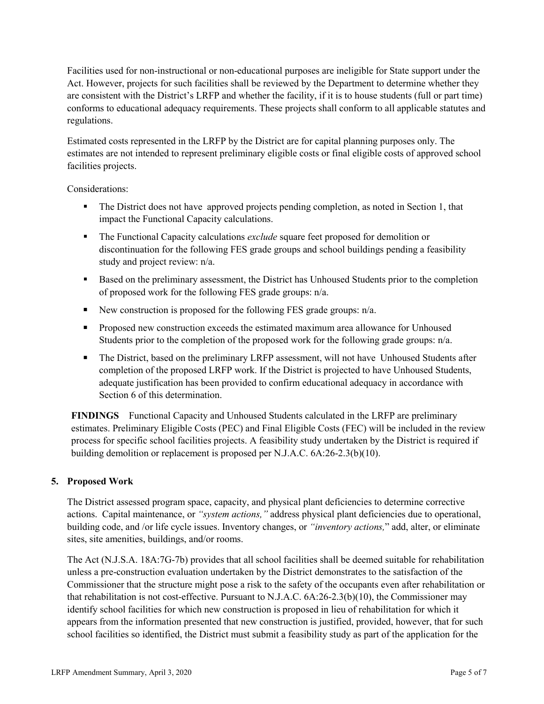Facilities used for non-instructional or non-educational purposes are ineligible for State support under the Act. However, projects for such facilities shall be reviewed by the Department to determine whether they are consistent with the District's LRFP and whether the facility, if it is to house students (full or part time) conforms to educational adequacy requirements. These projects shall conform to all applicable statutes and regulations.

Estimated costs represented in the LRFP by the District are for capital planning purposes only. The estimates are not intended to represent preliminary eligible costs or final eligible costs of approved school facilities projects.

Considerations:

- The District does not have approved projects pending completion, as noted in Section 1, that impact the Functional Capacity calculations.
- The Functional Capacity calculations *exclude* square feet proposed for demolition or discontinuation for the following FES grade groups and school buildings pending a feasibility study and project review: n/a.
- Based on the preliminary assessment, the District has Unhoused Students prior to the completion of proposed work for the following FES grade groups: n/a.
- New construction is proposed for the following FES grade groups:  $n/a$ .
- **Proposed new construction exceeds the estimated maximum area allowance for Unhoused** Students prior to the completion of the proposed work for the following grade groups: n/a.
- The District, based on the preliminary LRFP assessment, will not have Unhoused Students after completion of the proposed LRFP work. If the District is projected to have Unhoused Students, adequate justification has been provided to confirm educational adequacy in accordance with Section 6 of this determination.

**FINDINGS** Functional Capacity and Unhoused Students calculated in the LRFP are preliminary estimates. Preliminary Eligible Costs (PEC) and Final Eligible Costs (FEC) will be included in the review process for specific school facilities projects. A feasibility study undertaken by the District is required if building demolition or replacement is proposed per N.J.A.C. 6A:26-2.3(b)(10).

## **5. Proposed Work**

The District assessed program space, capacity, and physical plant deficiencies to determine corrective actions. Capital maintenance, or *"system actions,"* address physical plant deficiencies due to operational, building code, and /or life cycle issues. Inventory changes, or *"inventory actions,*" add, alter, or eliminate sites, site amenities, buildings, and/or rooms.

The Act (N.J.S.A. 18A:7G-7b) provides that all school facilities shall be deemed suitable for rehabilitation unless a pre-construction evaluation undertaken by the District demonstrates to the satisfaction of the Commissioner that the structure might pose a risk to the safety of the occupants even after rehabilitation or that rehabilitation is not cost-effective. Pursuant to N.J.A.C. 6A:26-2.3(b)(10), the Commissioner may identify school facilities for which new construction is proposed in lieu of rehabilitation for which it appears from the information presented that new construction is justified, provided, however, that for such school facilities so identified, the District must submit a feasibility study as part of the application for the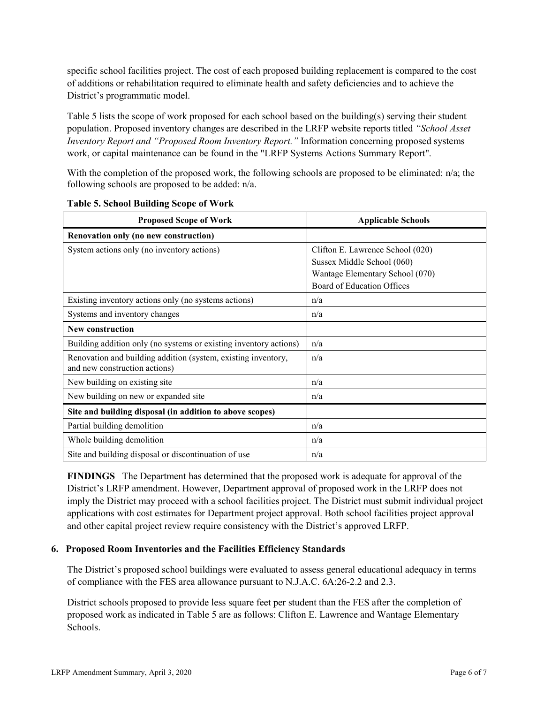specific school facilities project. The cost of each proposed building replacement is compared to the cost of additions or rehabilitation required to eliminate health and safety deficiencies and to achieve the District's programmatic model.

Table 5 lists the scope of work proposed for each school based on the building(s) serving their student population. Proposed inventory changes are described in the LRFP website reports titled *"School Asset Inventory Report and "Proposed Room Inventory Report."* Information concerning proposed systems work, or capital maintenance can be found in the "LRFP Systems Actions Summary Report".

With the completion of the proposed work, the following schools are proposed to be eliminated: n/a; the following schools are proposed to be added: n/a.

| <b>Proposed Scope of Work</b>                                                                  | <b>Applicable Schools</b>        |
|------------------------------------------------------------------------------------------------|----------------------------------|
| Renovation only (no new construction)                                                          |                                  |
| System actions only (no inventory actions)                                                     | Clifton E. Lawrence School (020) |
|                                                                                                | Sussex Middle School (060)       |
|                                                                                                | Wantage Elementary School (070)  |
|                                                                                                | Board of Education Offices       |
| Existing inventory actions only (no systems actions)                                           | n/a                              |
| Systems and inventory changes                                                                  | n/a                              |
| <b>New construction</b>                                                                        |                                  |
| Building addition only (no systems or existing inventory actions)                              | n/a                              |
| Renovation and building addition (system, existing inventory,<br>and new construction actions) | n/a                              |
| New building on existing site                                                                  | n/a                              |
| New building on new or expanded site                                                           | n/a                              |
| Site and building disposal (in addition to above scopes)                                       |                                  |
| Partial building demolition                                                                    | n/a                              |
| Whole building demolition                                                                      | n/a                              |
| Site and building disposal or discontinuation of use                                           | n/a                              |

**Table 5. School Building Scope of Work**

**FINDINGS** The Department has determined that the proposed work is adequate for approval of the District's LRFP amendment. However, Department approval of proposed work in the LRFP does not imply the District may proceed with a school facilities project. The District must submit individual project applications with cost estimates for Department project approval. Both school facilities project approval and other capital project review require consistency with the District's approved LRFP.

#### **6. Proposed Room Inventories and the Facilities Efficiency Standards**

The District's proposed school buildings were evaluated to assess general educational adequacy in terms of compliance with the FES area allowance pursuant to N.J.A.C. 6A:26-2.2 and 2.3.

District schools proposed to provide less square feet per student than the FES after the completion of proposed work as indicated in Table 5 are as follows: Clifton E. Lawrence and Wantage Elementary Schools.